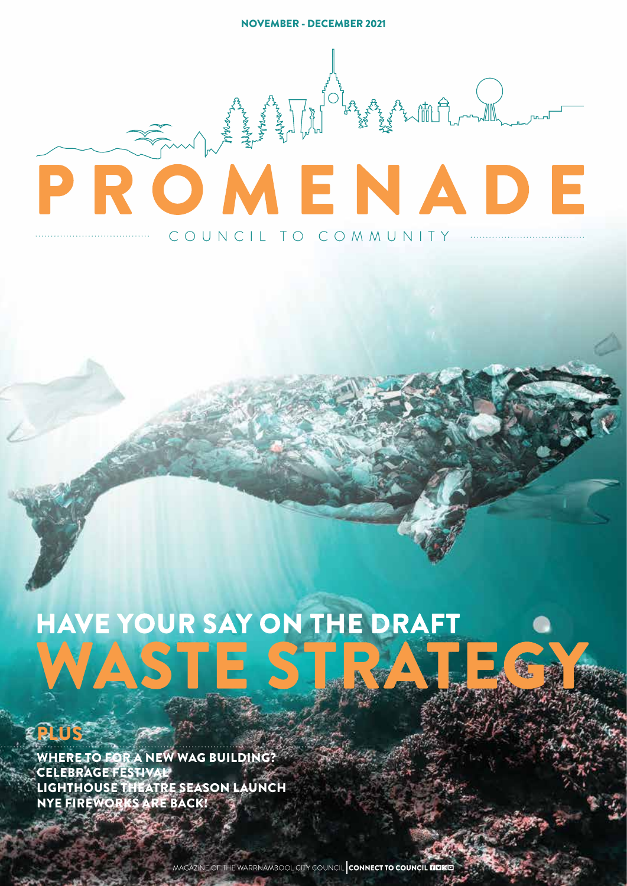NOVEMBER - DECEMBER 2021

# PROMENADE COUNCIL TO COMMUNITY ....

## **HAVE YOUR SAY ON THE DRAFT** WASTE ST

**PLUS<sup>12</sup>** 

WHERE TO FOR A NEW WAG BUILDING? CELEBRAGE FESTIVAL LIGHTHOUSE THEATRE SEASON LAUNCH NYE FIREWORKS ARE BACK!

MAGAZINE OF THE WARRNAMBOOL CITY COUNCIL CONNECT TO COUNCIL FIDE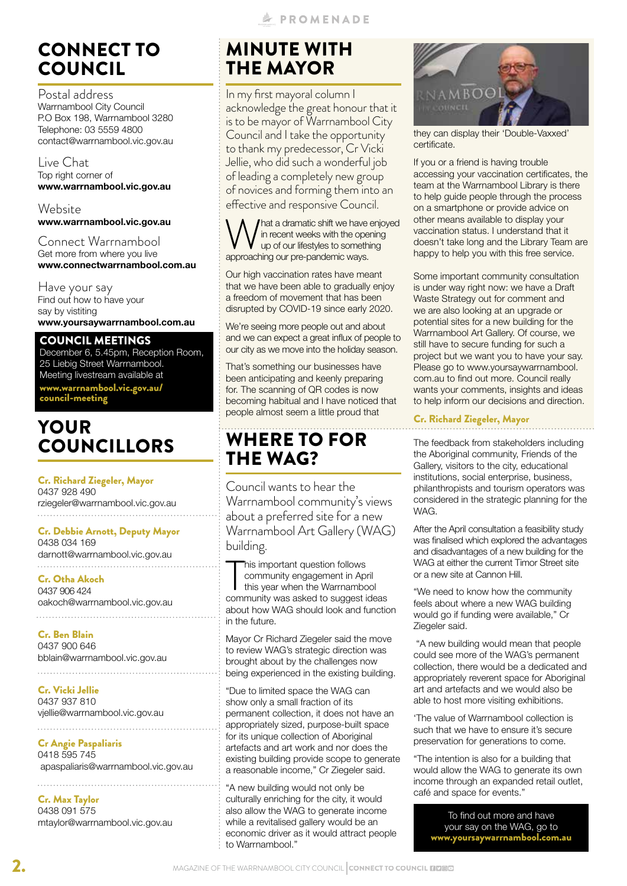## CONNECT TO COUNCIL

Postal address Warrnambool City Council P.O Box 198, Warrnambool 3280 Telephone: 03 5559 4800 contact@warrnambool.vic.gov.au

Live Chat Top right corner of **www.warrnambool.vic.gov.au**

Website **www.warrnambool.vic.gov.au**

Connect Warrnambool Get more from where you live **www.connectwarrnambool.com.au**

Have your say Find out how to have your say by vistiting **www.yoursaywarrnambool.com.au**

COUNCIL MEETINGS

December 6, 5.45pm, Reception Room, 25 Liebig Street Warrnambool. Meeting livestream available at www.warrnambool.vic.gov.au/ council-meeting

## YOUR COUNCILLORS

Cr. Richard Ziegeler, Mayor 0437 928 490 rziegeler@warrnambool.vic.gov.au 

Cr. Debbie Arnott, Deputy Mayor 0438 034 169

darnott@warrnambool.vic.gov.au 

Cr. Otha Akoch 0437 906 424 oakoch@warrnambool.vic.gov.au

Cr. Ben Blain 0437 900 646 bblain@warrnambool.vic.gov.au

Cr. Vicki Jellie 0437 937 810 vjellie@warrnambool.vic.gov.au

Cr Angie Paspaliaris 0418 595 745 apaspaliaris@warrnambool.vic.gov.au

Cr. Max Taylor 0438 091 575 mtaylor@warrnambool.vic.gov.au

## MINUTE WITH THE MAYOR

In my first mayoral column I acknowledge the great honour that it is to be mayor of Warrnambool City Council and I take the opportunity to thank my predecessor, Cr Vicki Jellie, who did such a wonderful job of leading a completely new group of novices and forming them into an effective and responsive Council.

hat a dramatic shift we have enjoyed in recent weeks with the opening up of our lifestyles to something approaching our pre-pandemic ways.

Our high vaccination rates have meant that we have been able to gradually enjoy a freedom of movement that has been disrupted by COVID-19 since early 2020.

We're seeing more people out and about and we can expect a great influx of people to our city as we move into the holiday season.

That's something our businesses have been anticipating and keenly preparing for. The scanning of QR codes is now becoming habitual and I have noticed that people almost seem a little proud that

## WHERE TO FOR THE WAG?

Council wants to hear the Warrnambool community's views about a preferred site for a new Warrnambool Art Gallery (WAG) building.

This important question follows<br>
community engagement in April<br>
this year when the Warrnambool<br>
community was asked to suggest ideas his important question follows community engagement in April this year when the Warrnambool about how WAG should look and function in the future.

Mayor Cr Richard Ziegeler said the move to review WAG's strategic direction was brought about by the challenges now being experienced in the existing building.

"Due to limited space the WAG can show only a small fraction of its permanent collection, it does not have an appropriately sized, purpose-built space for its unique collection of Aboriginal artefacts and art work and nor does the existing building provide scope to generate a reasonable income," Cr Ziegeler said.

"A new building would not only be culturally enriching for the city, it would also allow the WAG to generate income while a revitalised gallery would be an economic driver as it would attract people to Warrnambool."



they can display their 'Double-Vaxxed' certificate.

If you or a friend is having trouble accessing your vaccination certificates, the team at the Warrnambool Library is there to help guide people through the process on a smartphone or provide advice on other means available to display your vaccination status. I understand that it doesn't take long and the Library Team are happy to help you with this free service.

Some important community consultation is under way right now: we have a Draft Waste Strategy out for comment and we are also looking at an upgrade or potential sites for a new building for the Warrnambool Art Gallery. Of course, we still have to secure funding for such a project but we want you to have your say. Please go to www.yoursaywarrnambool. com.au to find out more. Council really wants your comments, insights and ideas to help inform our decisions and direction.

#### Cr. Richard Ziegeler, Mayor

The feedback from stakeholders including the Aboriginal community, Friends of the Gallery, visitors to the city, educational institutions, social enterprise, business, philanthropists and tourism operators was considered in the strategic planning for the WAG.

After the April consultation a feasibility study was finalised which explored the advantages and disadvantages of a new building for the WAG at either the current Timor Street site or a new site at Cannon Hill.

"We need to know how the community feels about where a new WAG building would go if funding were available," Cr Ziegeler said.

 "A new building would mean that people could see more of the WAG's permanent collection, there would be a dedicated and appropriately reverent space for Aboriginal art and artefacts and we would also be able to host more visiting exhibitions.

'The value of Warrnambool collection is such that we have to ensure it's secure preservation for generations to come.

"The intention is also for a building that would allow the WAG to generate its own income through an expanded retail outlet, café and space for events."

> To find out more and have your say on the WAG, go to www.yoursaywarrnambool.com.au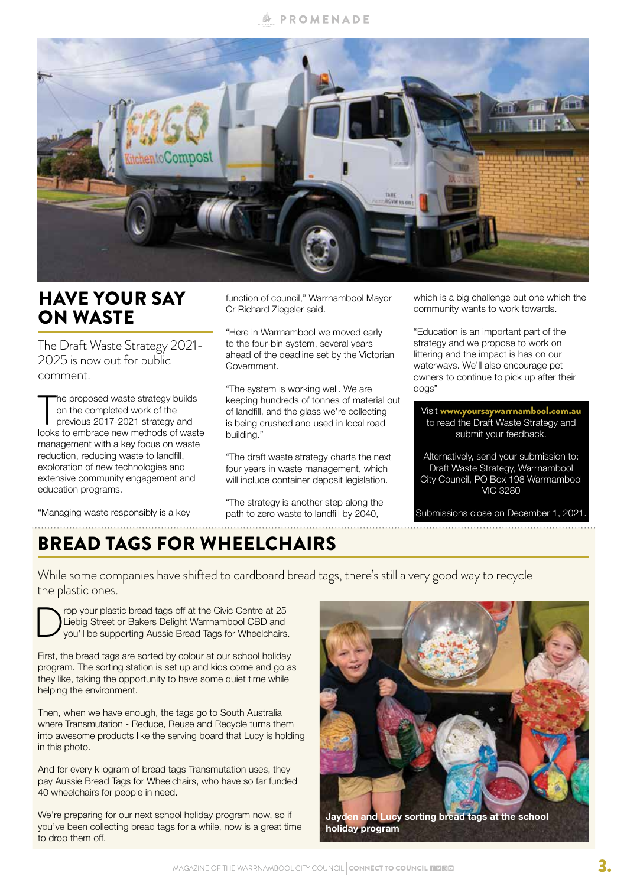#### **A PROMENADE**



## HAVE YOUR SAY ON WASTE

The Draft Waste Strategy 2021- 2025 is now out for public comment.

The proposed waste strategy builds<br>
on the completed work of the<br>
previous 2017-2021 strategy and<br>
looks to embrace new methods of waste he proposed waste strategy builds on the completed work of the previous 2017-2021 strategy and management with a key focus on waste reduction, reducing waste to landfill, exploration of new technologies and extensive community engagement and education programs.

"Managing waste responsibly is a key

function of council," Warrnambool Mayor Cr Richard Ziegeler said.

"Here in Warrnambool we moved early to the four-bin system, several years ahead of the deadline set by the Victorian Government.

"The system is working well. We are keeping hundreds of tonnes of material out of landfill, and the glass we're collecting is being crushed and used in local road building."

"The draft waste strategy charts the next four years in waste management, which will include container deposit legislation.

"The strategy is another step along the path to zero waste to landfill by 2040,

which is a big challenge but one which the community wants to work towards.

"Education is an important part of the strategy and we propose to work on littering and the impact is has on our waterways. We'll also encourage pet owners to continue to pick up after their dogs"

Visit www.yoursaywarrnambool.com.au to read the Draft Waste Strategy and submit your feedback. Alternatively, send your submission to: Draft Waste Strategy, Warrnambool

City Council, PO Box 198 Warrnambool VIC 3280

Submissions close on December 1, 2021.

## BREAD TAGS FOR WHEELCHAIRS

While some companies have shifted to cardboard bread tags, there's still a very good way to recycle the plastic ones.

**DROP YOUT plastic bread tags off at the Civic Centre at 25**<br>Liebig Street or Bakers Delight Warrnambool CBD and<br>you'll be supporting Aussie Bread Tags for Wheelchairs Liebig Street or Bakers Delight Warrnambool CBD and you'll be supporting Aussie Bread Tags for Wheelchairs.

First, the bread tags are sorted by colour at our school holiday program. The sorting station is set up and kids come and go as they like, taking the opportunity to have some quiet time while helping the environment.

Then, when we have enough, the tags go to South Australia where Transmutation - Reduce, Reuse and Recycle turns them into awesome products like the serving board that Lucy is holding in this photo.

And for every kilogram of bread tags Transmutation uses, they pay Aussie Bread Tags for Wheelchairs, who have so far funded 40 wheelchairs for people in need.

We're preparing for our next school holiday program now, so if you've been collecting bread tags for a while, now is a great time to drop them off.

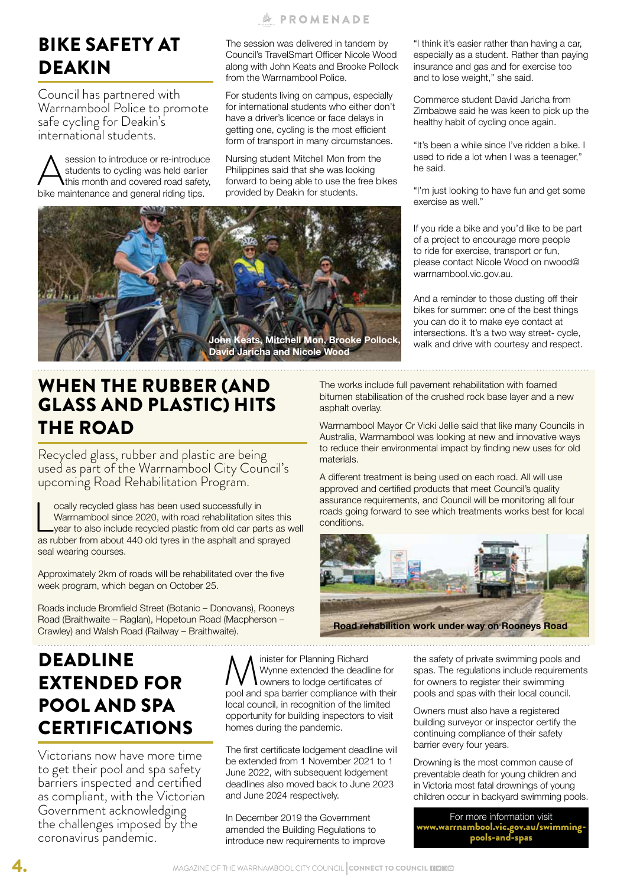#### **A PROMENADE**

The session was delivered in tandem by Council's TravelSmart Officer Nicole Wood along with John Keats and Brooke Pollock from the Warrnambool Police.

For students living on campus, especially for international students who either don't have a driver's licence or face delays in getting one, cycling is the most efficient

Nursing student Mitchell Mon from the Philippines said that she was looking forward to being able to use the free bikes provided by Deakin for students.

"I think it's easier rather than having a car, especially as a student. Rather than paying insurance and gas and for exercise too and to lose weight," she said.

form of transport in many circumstances.

If you ride a bike and you'd like to be part of a project to encourage more people to ride for exercise, transport or fun, please contact Nicole Wood on nwood@ warrnambool.vic.gov.au.

Commerce student David Jaricha from Zimbabwe said he was keen to pick up the healthy habit of cycling once again.

"It's been a while since I've ridden a bike. I used to ride a lot when I was a teenager,"

"I'm just looking to have fun and get some

And a reminder to those dusting off their bikes for summer: one of the best things you can do it to make eye contact at intersections. It's a two way street- cycle, walk and drive with courtesy and respect.

WHEN THE RUBBER (AND GLASS AND PLASTIC) HITS THE ROAD

BIKE SAFETY AT

Council has partnered with Warrnambool Police to promote

Session to introduce or re-introduce<br>students to cycling was held earlier<br>this month and covered road safety,<br>bike maintenance and general riding tips. students to cycling was held earlier this month and covered road safety, bike maintenance and general riding tips.

safe cycling for Deakin's international students.

DEAKIN

Recycled glass, rubber and plastic are being used as part of the Warrnambool City Council's upcoming Road Rehabilitation Program.

ocally recycled glass has been used successfully in<br>Warrnambool since 2020, with road rehabilitation sites this<br>year to also include recycled plastic from old car parts as v<br>as rubber from about 440 old tyres in the asphal ocally recycled glass has been used successfully in Warrnambool since 2020, with road rehabilitation sites this year to also include recycled plastic from old car parts as well seal wearing courses.

Approximately 2km of roads will be rehabilitated over the five week program, which began on October 25.

Roads include Bromfield Street (Botanic – Donovans), Rooneys Road (Braithwaite – Raglan), Hopetoun Road (Macpherson – Crawley) and Walsh Road (Railway – Braithwaite).

The works include full pavement rehabilitation with foamed bitumen stabilisation of the crushed rock base layer and a new asphalt overlay.

he said.

exercise as well."

Warrnambool Mayor Cr Vicki Jellie said that like many Councils in Australia, Warrnambool was looking at new and innovative ways to reduce their environmental impact by finding new uses for old materials.

A different treatment is being used on each road. All will use approved and certified products that meet Council's quality assurance requirements, and Council will be monitoring all four roads going forward to see which treatments works best for local conditions.

> the safety of private swimming pools and spas. The regulations include requirements for owners to register their swimming pools and spas with their local council.

Owners must also have a registered building surveyor or inspector certify the continuing compliance of their safety barrier every four years.

Drowning is the most common cause of preventable death for young children and in Victoria most fatal drownings of young children occur in backyard swimming pools.

For more information visit warrnambool.vic.gov.au/swimmingpools-and-spas

## DEADLINE EXTENDED FOR POOL AND SPA CERTIFICATIONS

Victorians now have more time to get their pool and spa safety barriers inspected and certified as compliant, with the Victorian Government acknowledging the challenges imposed by the coronavirus pandemic.

**M** inister for Planning Richard<br>
Wynne extended the deadline for<br>
pool and spa barrier compliance with their Wynne extended the deadline for owners to lodge certificates of local council, in recognition of the limited opportunity for building inspectors to visit homes during the pandemic.

The first certificate lodgement deadline will be extended from 1 November 2021 to 1 June 2022, with subsequent lodgement deadlines also moved back to June 2023 and June 2024 respectively.

In December 2019 the Government amended the Building Regulations to introduce new requirements to improve



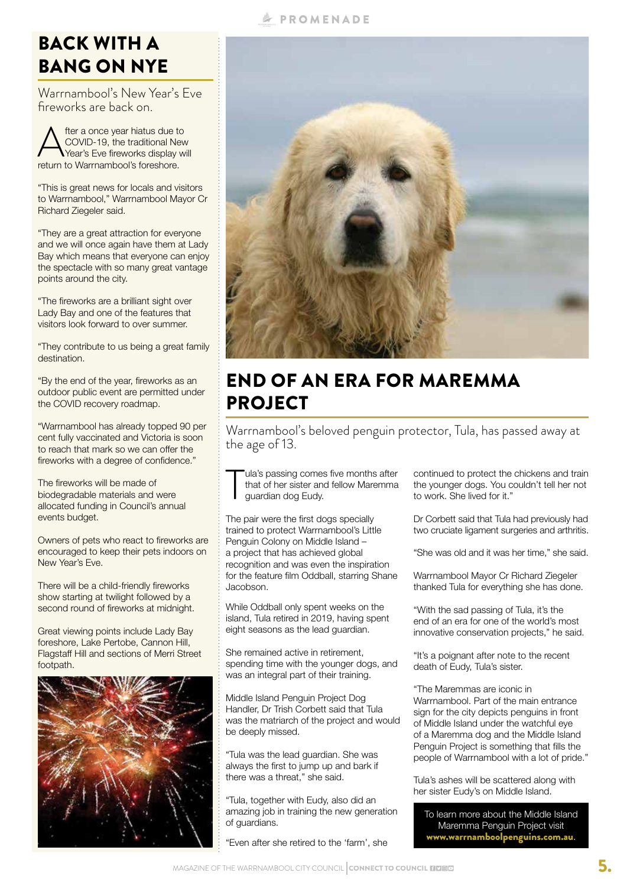#### always the first to jump up and bark if

"Even after she retired to the 'farm', she

## **A PROMENADE**

## **BACK WITH A** BANG ON NYE

Warrnambool's New Year's Eve fireworks are back on.

After a once year hiatus due to<br>COVID-19, the traditional New<br>Year's Eve fireworks display w<br>return to Warrnambool's foreshore. COVID-19, the traditional New Year's Eve fireworks display will return to Warrnambool's foreshore.

"This is great news for locals and visitors to Warrnambool," Warrnambool Mayor Cr Richard Ziegeler said.

"They are a great attraction for everyone and we will once again have them at Lady Bay which means that everyone can enjoy the spectacle with so many great vantage points around the city.

"The fireworks are a brilliant sight over Lady Bay and one of the features that visitors look forward to over summer.

"They contribute to us being a great family destination.

"By the end of the year, fireworks as an outdoor public event are permitted under the COVID recovery roadmap.

"Warrnambool has already topped 90 per cent fully vaccinated and Victoria is soon to reach that mark so we can offer the fireworks with a degree of confidence."

The fireworks will be made of biodegradable materials and were allocated funding in Council's annual events budget.

Owners of pets who react to fireworks are encouraged to keep their pets indoors on New Year's Eve.

There will be a child-friendly fireworks show starting at twilight followed by a second round of fireworks at midnight.

Great viewing points include Lady Bay foreshore, Lake Pertobe, Cannon Hill, Flagstaff Hill and sections of Merri Street footpath.





## END OF AN ERA FOR MAREMMA PROJECT

Warrnambool's beloved penguin protector, Tula, has passed away at the age of 13.

T ula's passing comes five months after that of her sister and fellow Maremma guardian dog Eudy.

The pair were the first dogs specially trained to protect Warrnambool's Little Penguin Colony on Middle Island – a project that has achieved global recognition and was even the inspiration for the feature film Oddball, starring Shane Jacobson.

While Oddball only spent weeks on the island, Tula retired in 2019, having spent eight seasons as the lead guardian.

She remained active in retirement, spending time with the younger dogs, and was an integral part of their training.

Middle Island Penguin Project Dog Handler, Dr Trish Corbett said that Tula was the matriarch of the project and would be deeply missed.

"Tula was the lead guardian. She was there was a threat," she said.

"Tula, together with Eudy, also did an amazing job in training the new generation of guardians.

continued to protect the chickens and train the younger dogs. You couldn't tell her not to work. She lived for it."

Dr Corbett said that Tula had previously had two cruciate ligament surgeries and arthritis.

"She was old and it was her time," she said.

Warrnambool Mayor Cr Richard Ziegeler thanked Tula for everything she has done.

"With the sad passing of Tula, it's the end of an era for one of the world's most innovative conservation projects," he said.

"It's a poignant after note to the recent death of Eudy, Tula's sister.

"The Maremmas are iconic in Warrnambool. Part of the main entrance sign for the city depicts penguins in front of Middle Island under the watchful eye of a Maremma dog and the Middle Island Penguin Project is something that fills the people of Warrnambool with a lot of pride."

Tula's ashes will be scattered along with her sister Eudy's on Middle Island.

To learn more about the Middle Island Maremma Penguin Project visit www.warrnamboolpenguins.com.au.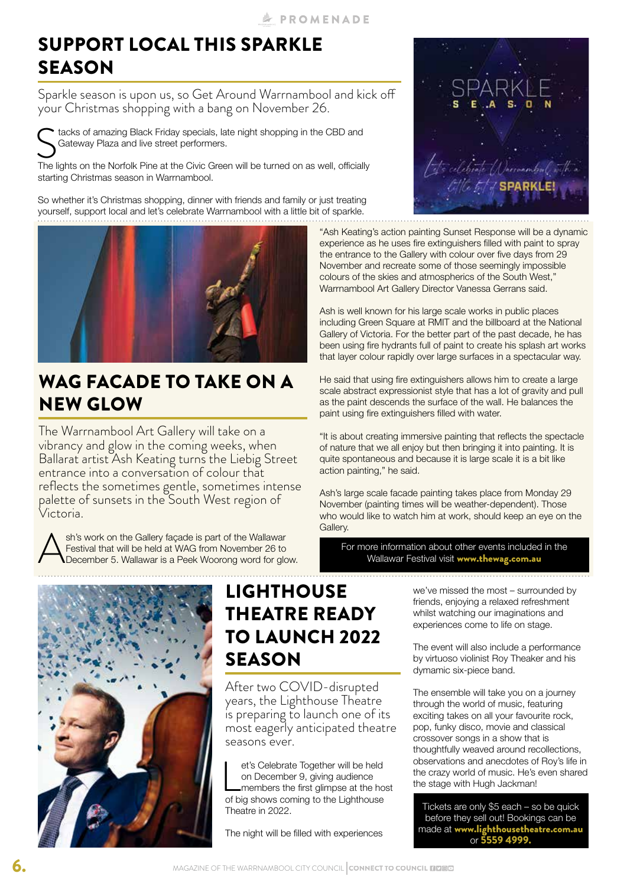## SUPPORT LOCAL THIS SPARKLE **SEASON**

Sparkle season is upon us, so Get Around Warrnambool and kick off your Christmas shopping with a bang on November 26.

tacks of amazing Black Friday specials, late night shopping in the CBD and Gateway Plaza and live street performers.

The lights on the Norfolk Pine at the Civic Green will be turned on as well, officially starting Christmas season in Warrnambool.

So whether it's Christmas shopping, dinner with friends and family or just treating yourself, support local and let's celebrate Warrnambool with a little bit of sparkle.



## WAG FACADE TO TAKE ON A NEW GLOW

The Warrnambool Art Gallery will take on a vibrancy and glow in the coming weeks, when Ballarat artist Ash Keating turns the Liebig Street entrance into a conversation of colour that reflects the sometimes gentle, sometimes intense palette of sunsets in the South West region of Victoria.

Ash's work on the Gallery façade is part of the Wallawar<br>Festival that will be held at WAG from November 26 to<br>December 5. Wallawar is a Peek Woorong word for glo Festival that will be held at WAG from November 26 to December 5. Wallawar is a Peek Woorong word for glow.



## LIGHTHOUSE THEATRE READY TO LAUNCH 2022 **SEASON**

After two COVID-disrupted years, the Lighthouse Theatre is preparing to launch one of its most eagerly anticipated theatre seasons ever.

et's Celebrate Together will be held<br>on December 9, giving audience<br>members the first glimpse at the ho<br>of big shows coming to the Lighthouse et's Celebrate Together will be held on December 9, giving audience members the first glimpse at the host Theatre in 2022.

The night will be filled with experiences



"Ash Keating's action painting Sunset Response will be a dynamic experience as he uses fire extinguishers filled with paint to spray the entrance to the Gallery with colour over five days from 29 November and recreate some of those seemingly impossible colours of the skies and atmospherics of the South West," Warrnambool Art Gallery Director Vanessa Gerrans said.

Ash is well known for his large scale works in public places including Green Square at RMIT and the billboard at the National Gallery of Victoria. For the better part of the past decade, he has been using fire hydrants full of paint to create his splash art works that layer colour rapidly over large surfaces in a spectacular way.

He said that using fire extinguishers allows him to create a large scale abstract expressionist style that has a lot of gravity and pull as the paint descends the surface of the wall. He balances the paint using fire extinguishers filled with water.

"It is about creating immersive painting that reflects the spectacle of nature that we all enjoy but then bringing it into painting. It is quite spontaneous and because it is large scale it is a bit like action painting," he said.

Ash's large scale facade painting takes place from Monday 29 November (painting times will be weather-dependent). Those who would like to watch him at work, should keep an eye on the Gallery.

For more information about other events included in the Wallawar Festival visit www.thewag.com.au

> we've missed the most – surrounded by friends, enjoying a relaxed refreshment whilst watching our imaginations and experiences come to life on stage.

The event will also include a performance by virtuoso violinist Roy Theaker and his dymamic six-piece band.

The ensemble will take you on a journey through the world of music, featuring exciting takes on all your favourite rock, pop, funky disco, movie and classical crossover songs in a show that is thoughtfully weaved around recollections, observations and anecdotes of Roy's life in the crazy world of music. He's even shared the stage with Hugh Jackman!

Tickets are only \$5 each – so be quick before they sell out! Bookings can be made at www.lighthousetheatre.com.au or 5559 4999.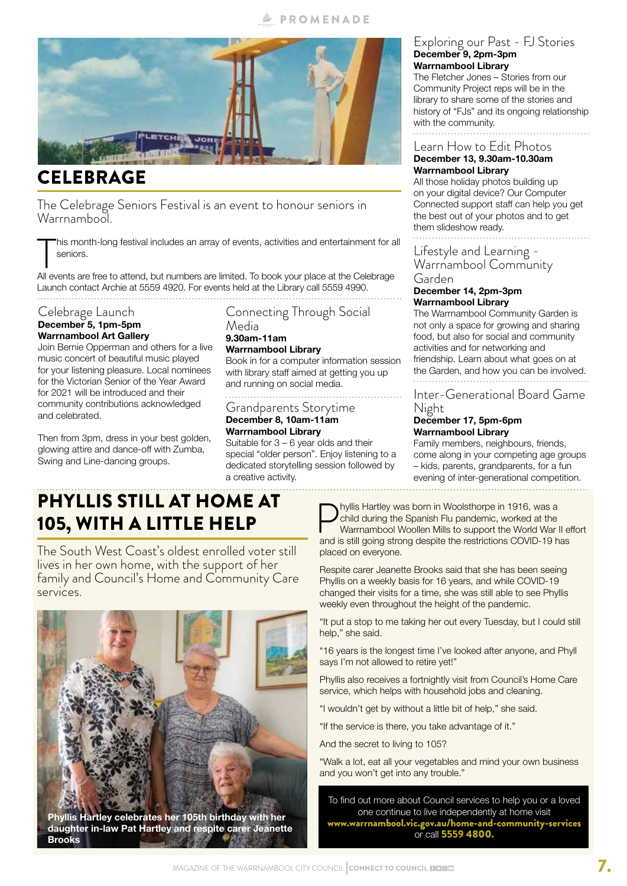

## CELEBRAGE

The Celebrage Seniors Festival is an event to honour seniors in Warrnambool.

This month-long festival includes an array of events, activities and entertainment for a<br>seniors.<br>All events are free to attend, but numbers are limited. To book your place at the Celebrage his month-long festival includes an array of events, activities and entertainment for all seniors.

Launch contact Archie at 5559 4920. For events held at the Library call 5559 4990.

#### Celebrage Launch **December 5, 1pm-5pm Warrnambool Art Gallery**

Join Bernie Opperman and others for a live music concert of beautiful music played for your listening pleasure. Local nominees for the Victorian Senior of the Year Award for 2021 will be introduced and their community contributions acknowledged and celebrated.

Then from 3pm, dress in your best golden, glowing attire and dance-off with Zumba, Swing and Line-dancing groups.

Connecting Through Social Media **9.30am-11am**

## **Warrnambool Library**

Book in for a computer information session with library staff aimed at getting you up and running on social media.

#### Grandparents Storytime **December 8, 10am-11am**

**Warrnambool Library** Suitable for  $3 - 6$  year olds and their special "older person". Enjoy listening to a dedicated storytelling session followed by a creative activity.

#### Exploring our Past - FJ Stories **December 9, 2pm-3pm Warrnambool Library**

The Fletcher Jones – Stories from our Community Project reps will be in the library to share some of the stories and history of "FJs" and its ongoing relationship with the community.

Learn How to Edit Photos

#### **December 13, 9.30am-10.30am Warrnambool Library**

All those holiday photos building up on your digital device? Our Computer Connected support staff can help you get the best out of your photos and to get them slideshow ready.

#### Lifestyle and Learning - Warrnambool Community Garden

#### **December 14, 2pm-3pm Warrnambool Library**

The Warrnambool Community Garden is not only a space for growing and sharing food, but also for social and community activities and for networking and friendship. Learn about what goes on at the Garden, and how you can be involved.

#### Inter-Generational Board Game Night

#### **December 17, 5pm-6pm Warrnambool Library**

Family members, neighbours, friends, come along in your competing age groups – kids, parents, grandparents, for a fun evening of inter-generational competition. 

## PHYLLIS STILL AT HOME AT 105, WITH A LITTLE HELP

The South West Coast's oldest enrolled voter still lives in her own home, with the support of her family and Council's Home and Community Care services.



**Phyllis Hartley celebrates her 105th birthday with her daughter in-law Pat Hartley and respite carer Jeanette Brooks**

**Phyllis Hartley was born in Woolsthorpe in 1916, was a** child during the Spanish Flu pandemic, worked at the Warrnambool Woollen Mills to support the World War and is still going strong despite the restrictions COVID-19 h child during the Spanish Flu pandemic, worked at the Warrnambool Woollen Mills to support the World War II effort and is still going strong despite the restrictions COVID-19 has placed on everyone.

Respite carer Jeanette Brooks said that she has been seeing Phyllis on a weekly basis for 16 years, and while COVID-19 changed their visits for a time, she was still able to see Phyllis weekly even throughout the height of the pandemic.

"It put a stop to me taking her out every Tuesday, but I could still help," she said.

"16 years is the longest time I've looked after anyone, and Phyll says I'm not allowed to retire yet!"

Phyllis also receives a fortnightly visit from Council's Home Care service, which helps with household jobs and cleaning.

"I wouldn't get by without a little bit of help," she said.

"If the service is there, you take advantage of it."

And the secret to living to 105?

"Walk a lot, eat all your vegetables and mind your own business and you won't get into any trouble."

To find out more about Council services to help you or a loved one continue to live independently at home visit www.warrnambool.vic.gov.au/home-and-community-services or call 5559 4800.